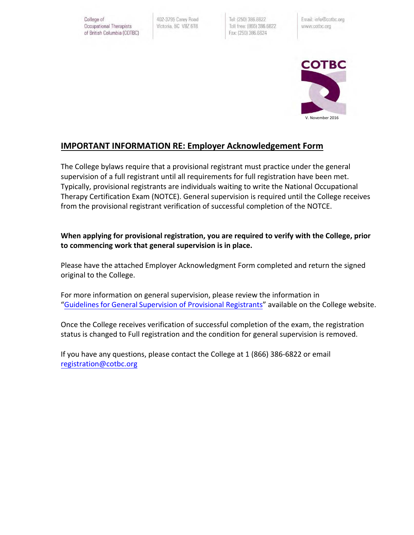College of Occupational Therapists of British Columbia (COTBC) 402-3795 Carey Road Victoria, BC V8Z 6T8

Tel: (250) 386.6822 Toll free: (866) 386.6822 Fax: (250) 386.6824

Email: info@cotbc.org www.cotbc.org



## **IMPORTANT INFORMATION RE: Employer Acknowledgement Form**

The College bylaws require that a provisional registrant must practice under the general supervision of a full registrant until all requirements for full registration have been met. Typically, provisional registrants are individuals waiting to write the National Occupational Therapy Certification Exam (NOTCE). General supervision is required until the College receives from the provisional registrant verification of successful completion of the NOTCE.

## **When applying for provisional registration, you are required to verify with the College, prior to commencing work that general supervision is in place.**

Please have the attached Employer Acknowledgment Form completed and return the signed original to the College.

For more information on general supervision, please review the information in "[Guidelines for General Supervision](https://cotbc.org/wp-content/uploads/GuidelineforGeneralSupervision_Final_June2016.pdf) of Provisional Registrants" available on the College website.

Once the College receives verification of successful completion of the exam, the registration status is changed to Full registration and the condition for general supervision is removed.

If you have any questions, please contact the College at 1 (866) 386-6822 or email [registration@cotbc.org](mailto:registration@cotbc.org)